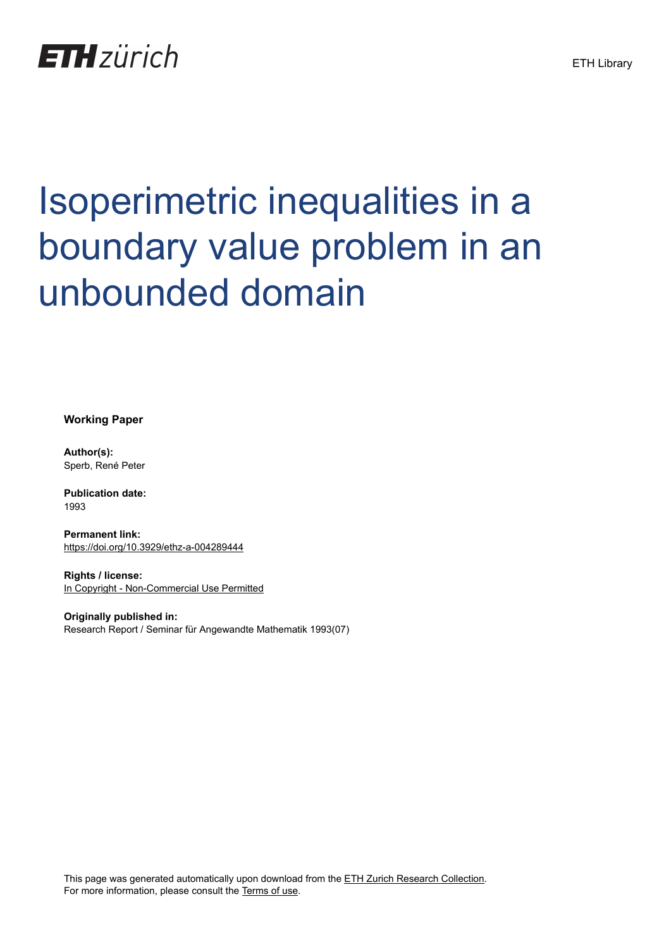

# Isoperimetric inequalities in a boundary value problem in an unbounded domain

**Working Paper**

**Author(s):** Sperb, René Peter

**Publication date:** 1993

**Permanent link:** <https://doi.org/10.3929/ethz-a-004289444>

**Rights / license:** [In Copyright - Non-Commercial Use Permitted](http://rightsstatements.org/page/InC-NC/1.0/)

**Originally published in:** Research Report / Seminar für Angewandte Mathematik 1993(07)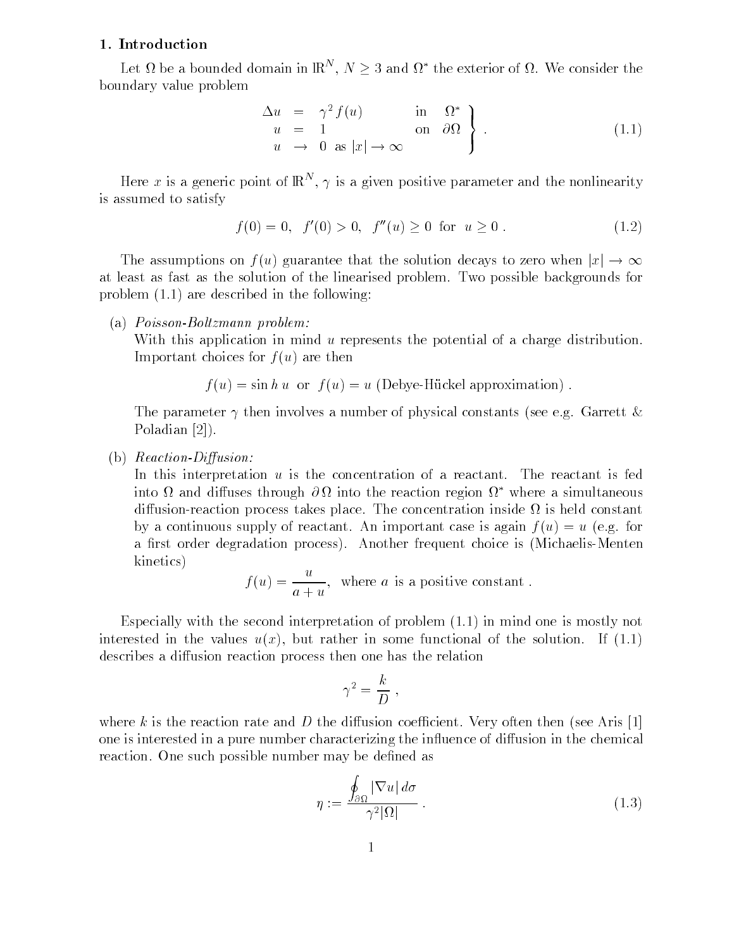#### - Introduction

Let  $\Omega$  be a bounded domain in  $\mathbb{R}^N$ ,  $N \geq 3$  and  $\Omega^*$  the exterior of  $\Omega$ . We consider the boundary value problem

$$
\begin{array}{rcl}\n\Delta u & = & \gamma^2 f(u) & \text{in} & \Omega^* \\
u & = & 1 & \text{on} & \partial\Omega \\
u & \to & 0 & \text{as } |x| \to \infty\n\end{array} \bigg\} \tag{1.1}
$$

Here x is a generic point of  $\mathbb{R}^n$ ,  $\gamma$  is a given positive parameter and the nonlinearity is assumed to satisfy

$$
f(0) = 0, \quad f'(0) > 0, \quad f''(u) \ge 0 \quad \text{for} \quad u \ge 0. \tag{1.2}
$$

The assumptions on  $f(u)$  guarantee that the solution decays to zero when  $|x|\to\infty$ at least as fast as the solution of the linearised problem. Two possible backgrounds for problem  $(1.1)$  are described in the following:

(a)  $Poisson-Boltzmann problem:$ 

With this application in mind u represents the potential of a charge distribution. Important choices for  $f(u)$  are then

$$
f(u) = \sin hu
$$
 or  $f(u) = u$  (Debye-Hückel approximation).

The parameter  $\gamma$  then involves a number of physical constants (see e.g. Garrett & Poladian [2]).

### (b)  $Reaction-Diffusion$ :

In this interpretation  $u$  is the concentration of a reactant. The reactant is fed into  $\alpha$  and diffuses through  $\sigma\alpha$  into the reaction region  $\alpha$  –where a simultaneous – diffusion-reaction process takes place. The concentration inside  $\Omega$  is held constant by a continuous supply of reactant. An important case is again  $f(u) = u$  (e.g. for a first order degradation process). Another frequent choice is (Michaelis-Menten kinetics

$$
f(u) = \frac{u}{a + u},
$$
 where *a* is a positive constant.

Especially with the second interpretation of problem  $(1.1)$  in mind one is mostly not interested in the values uncertainty uncertainty  $\mathbf{I}$ describes a diffusion reaction process then one has the relation

$$
\gamma^2 = \frac{k}{D} \; ,
$$

where k is the reaction rate and D the diffusion coefficient. Very often then (see Aris [1] one is interested in a pure number characterizing the influence of diffusion in the chemical reaction. One such possible number may be defined as

$$
\eta := \frac{\oint_{\partial \Omega} |\nabla u| \, d\sigma}{\gamma^2 |\Omega|} \,. \tag{1.3}
$$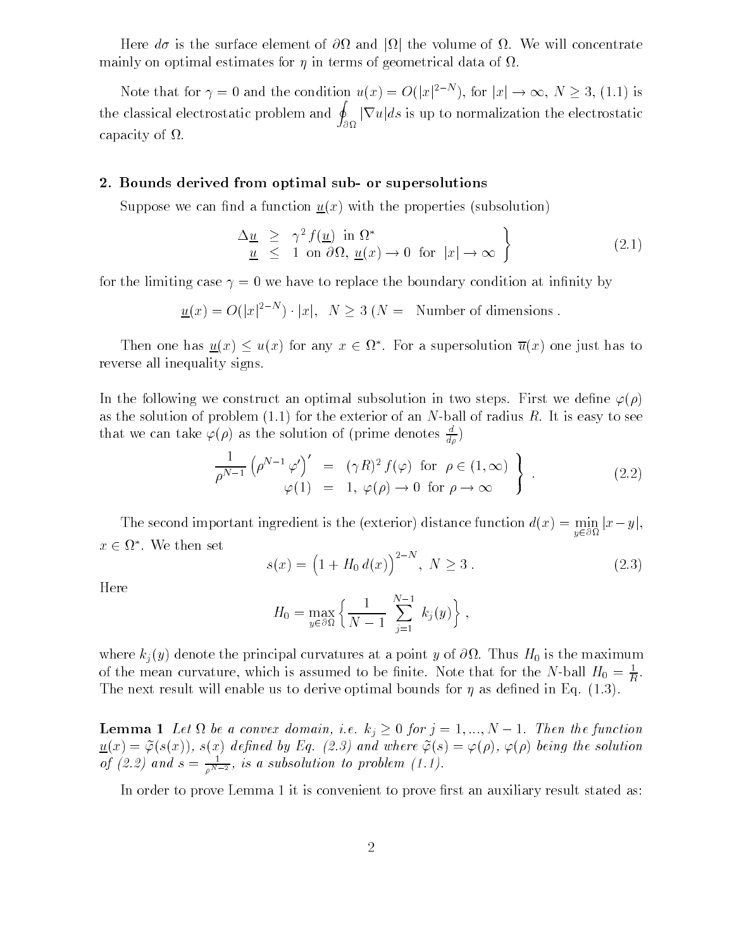Here do is the surface element of  $\partial\Omega$  and  $|\Omega|$  the volume of  $\Omega$ . We will concentrate mainly on optimal estimates for  $\eta$  in terms of geometrical data of  $\Omega$ .

Note that for  $\gamma = 0$  and the condition  $u(x) = O(|x|^{2-N})$ , for  $|x| \to \infty$ ,  $N \ge 3$ , (1.1) is the classical electrostatic problem and  $\oint$   $|\nabla u| ds$  is up to normalization the electrostatic capacity of  $\Omega$ .

#### 2. Dounds derived from optimal sub- or supersolutions

Suppose we can find a function  $\underline{u}(x)$  with the properties (subsolution)

$$
\begin{array}{rcl}\n\Delta \underline{u} & \geq & \gamma^2 \, f(\underline{u}) \text{ in } \Omega^* \\
\underline{u} & \leq & 1 \text{ on } \partial \Omega, \, \underline{u}(x) \to 0 \text{ for } |x| \to \infty\n\end{array}
$$
\n\tag{2.1}

for the limiting case we have to replace the boundary condition at innity by

$$
\underline{u}(x) = O(|x|^{2-N}) \cdot |x|, \ \ N \ge 3 \ (N = \text{ Number of dimensions } .
$$

Then one has  $\underline{u}(x) \leq u(x)$  for any  $x \in \Omega^*$ . For a supersolution  $\overline{u}(x)$  one just has to reverse all inequality signs

In the following we construct an optimal subsolution in two steps. First we define  $\varphi(\rho)$ as the solution of problem  $(1.1)$  for the exterior of an N-ball of radius R. It is easy to see that we can take  $\varphi(\rho)$  as the solution of (prime denotes  $\frac{1}{d\rho}$ )

$$
\frac{1}{\rho^{N-1}} \left( \rho^{N-1} \varphi' \right)' = (\gamma R)^2 f(\varphi) \text{ for } \rho \in (1, \infty) \}
$$
  

$$
\varphi(1) = 1, \varphi(\rho) \to 0 \text{ for } \rho \to \infty \}
$$
 (2.2)

The second important ingredient is the (exterior) distance function  $d(x) = \min_{y \in \partial \Omega} |x - y|$ ,  $x \in \Omega^*$ . We then set

$$
s(x) = (1 + H_0 d(x))^{2-N}, N \ge 3.
$$
 (2.3)

Here

-

$$
H_0 = \max_{y \in \partial \Omega} \left\{ \frac{1}{N-1} \sum_{j=1}^{N-1} k_j(y) \right\},\,
$$

where the principal curvatures at a point y of  $\mathcal{Y}$  is the maximum values at a point y of  $\mathcal{Y}$ of the mean curvature, which is assumed to be finite. Note that for the N-ball  $H_0 = \frac{1}{R}$ . The next result will enable us to derive optimal bounds for  $\eta$  as defined in Eq. (1.3).

**Lemma 1** Let  $\Omega$  be a convex domain, i.e.  $k_i \geq 0$  for  $j = 1, ..., N-1$ . Then the function  $u(x) = \varphi(\beta(x)), \beta(x)$  actinca by Eq.  $(\omega, \beta)$  and where  $\varphi(\beta) = \varphi(\beta)$ ,  $\varphi(\beta)$  being the solution of (2.2) and  $s = \frac{N-2}{N-2}$ , is a subsolution to problem (1.1).

In order to prove Lemma 1 it is convenient to prove first an auxiliary result stated as: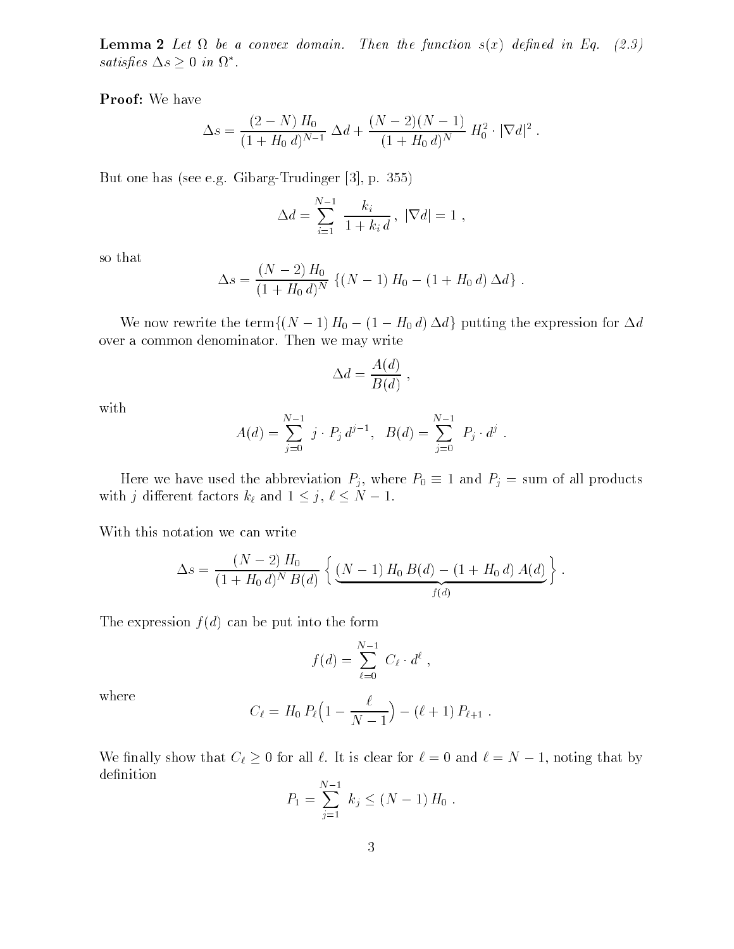$\bf L$ emma 4 Decession algebra domain. Then the function state achieva in Eq. (2.9) satisfies  $\Delta s \geq 0$  in  $\Omega^*$ .

Proof We have

$$
\Delta s = \frac{(2-N) H_0}{(1+H_0 d)^{N-1}} \, \Delta d + \frac{(N-2)(N-1)}{(1+H_0 d)^N} H_0^2 \cdot |\nabla d|^2.
$$

But one has seen the second of the second seeds and the second

$$
\Delta d = \sum_{i=1}^{N-1} \frac{k_i}{1 + k_i d}, \ |\nabla d| = 1,
$$

so that

$$
\Delta s = \frac{(N-2) H_0}{(1+H_0 d)^N} \left\{ (N-1) H_0 - (1+H_0 d) \Delta d \right\}.
$$

We now rewrite the term  $\{(N - 1) H_0 - (1 - H_0 d) \Delta d\}$  putting the expression for  $\Delta d$ over a common denominator. Then we may write

$$
\Delta d = \frac{A(d)}{B(d)} ,
$$

with

$$
A(d) = \sum_{j=0}^{N-1} j \cdot P_j d^{j-1}, \quad B(d) = \sum_{j=0}^{N-1} P_j d^{j}.
$$

Here we have used the abbreviation  $P_i$ , where  $P_0 \equiv 1$  and  $P_i = \text{sum}$  of all products with j different factors  $k_{\ell}$  and  $1 \leq j, \ell \leq N-1$ .

With this notation we can write

$$
\Delta s = \frac{(N-2)H_0}{(1+H_0 d)^N B(d)} \left\{ \underbrace{(N-1)H_0 B(d) - (1+H_0 d) A(d)}_{f(d)} \right\}.
$$

The expression  $f(d)$  can be put into the form

$$
f(d) = \sum_{\ell=0}^{N-1} C_{\ell} \cdot d^{\ell} ,
$$

where

$$
C_{\ell} = H_0 P_{\ell} \Big( 1 - \frac{\ell}{N-1} \Big) - (\ell+1) P_{\ell+1} .
$$

We finally show that  $C_{\ell} \geq 0$  for all  $\ell$ . It is clear for  $\ell = 0$  and  $\ell = N - 1$ , noting that by definition

$$
P_1 = \sum_{j=1}^{N-1} k_j \le (N-1) H_0.
$$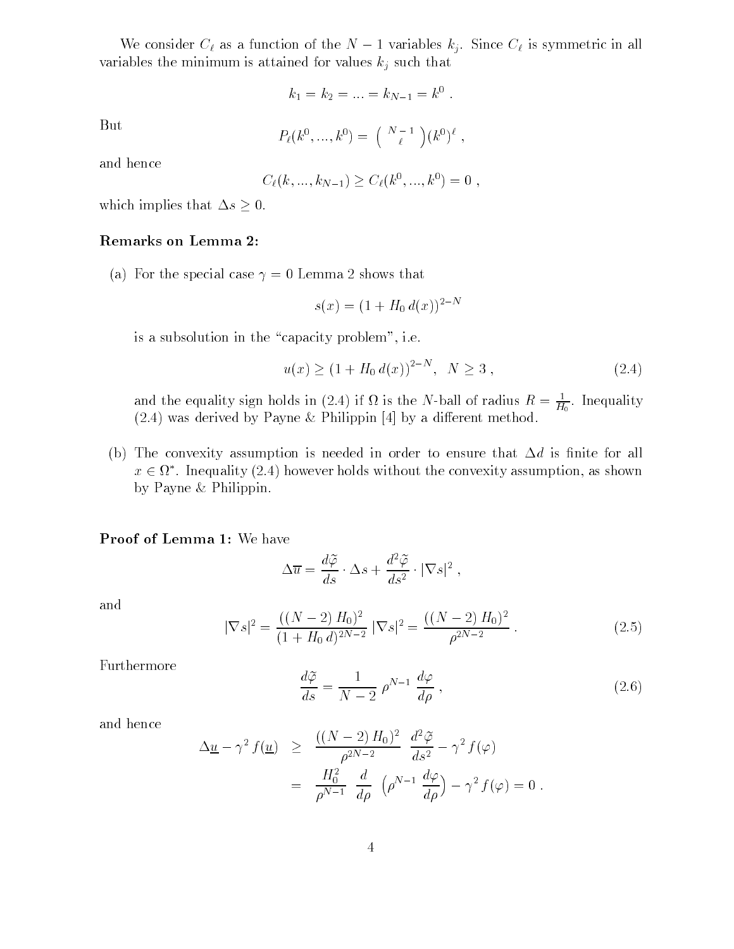We consider  $C_{\ell}$  as a function of the  $N-1$  variables  $k_j$ . Since  $C_{\ell}$  is symmetric in all variables the minimum is attained for values  $k_j$  such that

$$
k_1 = k_2 = \ldots = k_{N-1} = k^0 \ .
$$

But

$$
P_{\ell}(k^{0},...,k^{0}) = \binom{N-1}{\ell}(k^{0})^{\ell},
$$

and hence

$$
C_{\ell}(k, ..., k_{N-1}) \ge C_{\ell}(k^0, ..., k^0) = 0
$$

which implies that  $\Delta s \geq 0$ .

## Remarks on Lemma

a For the special case is the special case in the special case is that is special case in the special case is  $\mathcal{L} = \mathcal{L} = \mathcal{L} = \mathcal{L} = \mathcal{L} = \mathcal{L} = \mathcal{L} = \mathcal{L} = \mathcal{L} = \mathcal{L} = \mathcal{L} = \mathcal{L} = \mathcal{L} = \mathcal{L} = \mathcal{L} = \mathcal{L$ 

$$
s(x) = (1 + H_0 \, d(x))^{2-N}
$$

is a subsolution in the capacity problem-between  $\mathbf{I}$  . The capacity problem-between  $\mathbf{I}$ 

$$
u(x) \ge (1 + H_0 d(x))^{2-N}, \quad N \ge 3,
$$
\n(2.4)

and the equality sign holds in (2.4) if  $\Omega$  is the N-ball of radius  $K = \frac{1}{H_0}$ . Inequality  $(2.4)$  was derived by Payne & Philippin  $[4]$  by a different method.

(b) The convexity assumption is needed in order to ensure that  $\Delta d$  is finite for all  $x \in \Omega^*$ . Inequality (2.4) however holds without the convexity assumption, as shown by Payne  $&$  Philippin.

#### $\blacksquare$  roof of Lemma 1. We have

$$
\Delta \overline{u} = \frac{d\widetilde{\varphi}}{ds} \cdot \Delta s + \frac{d^2 \widetilde{\varphi}}{ds^2} \cdot |\nabla s|^2 ,
$$

and

$$
|\nabla s|^2 = \frac{((N-2)H_0)^2}{(1+H_0 d)^{2N-2}} |\nabla s|^2 = \frac{((N-2)H_0)^2}{\rho^{2N-2}}.
$$
\n(2.5)

Furthermore

$$
\frac{d\tilde{\varphi}}{ds} = \frac{1}{N-2} \rho^{N-1} \frac{d\varphi}{d\rho} ,\qquad (2.6)
$$

and hence

$$
\Delta \underline{u} - \gamma^2 f(\underline{u}) \ge \frac{((N-2)H_0)^2}{\rho^{2N-2}} \frac{d^2 \widetilde{\varphi}}{ds^2} - \gamma^2 f(\varphi)
$$

$$
= \frac{H_0^2}{\rho^{N-1}} \frac{d}{d\rho} \left(\rho^{N-1} \frac{d\varphi}{d\rho}\right) - \gamma^2 f(\varphi) = 0
$$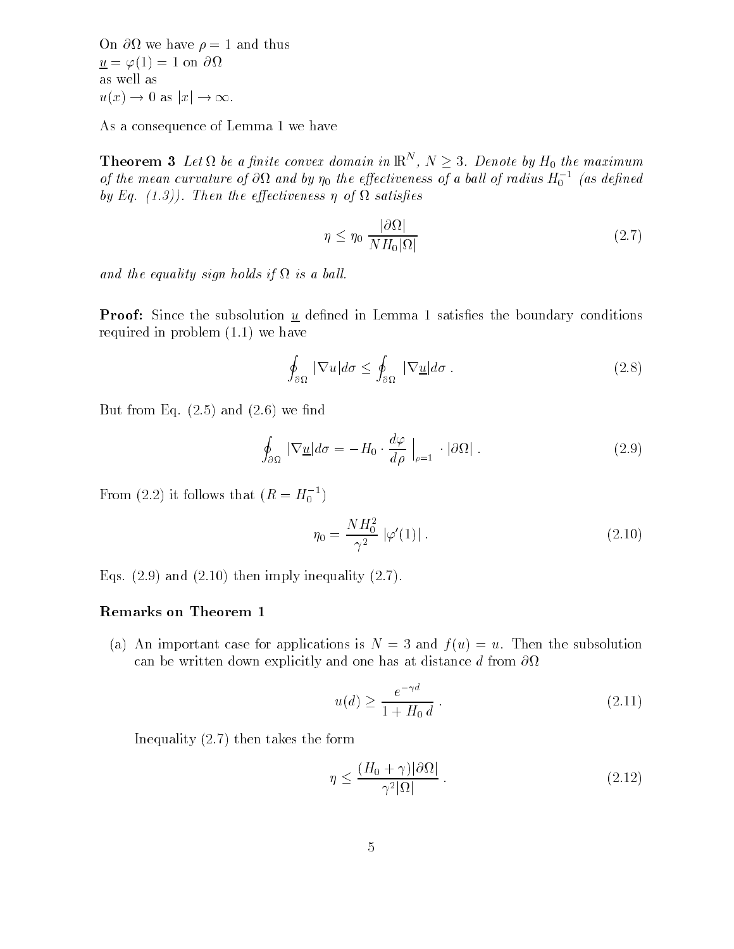on one have not provide the theory under the contract of the contract of the contract of the contract of the contract of the contract of the contract of the contract of the contract of the contract of the contract of the contract of the contract of the con as well as  $u(x) \to 0$  as  $|x| \to \infty$ .

As a consequence of Lemma 1 we have

**Theorem 3** Let  $\Omega$  be a finite convex domain in  $\mathbb{R}^N$ ,  $N \geq 3$ . Denote by  $H_0$  the maximum of the mean curvature of  $\sigma$ st and by  $\eta_0$  the effectiveness of a ball of radius  $H_0$   $^-$  (as defined  $^ \sigma$  is a functional to the extension of  $\sigma$  is a subsequently the extremely of  $\sigma$ 

$$
\eta \le \eta_0 \, \frac{|\partial \Omega|}{N H_0 |\Omega|} \tag{2.7}
$$

ana me cyuunoy siyn holds if is is a bull.

Proof Since the subsolution <sup>u</sup> dened in Lemma satises the boundary conditions required in problem  $(1.1)$  we have

$$
\oint_{\partial\Omega} |\nabla u| d\sigma \le \oint_{\partial\Omega} |\nabla \underline{u}| d\sigma. \tag{2.8}
$$

But from Eq.  $(2.5)$  and  $(2.6)$  we find

$$
\oint_{\partial\Omega} |\nabla \underline{u}| d\sigma = -H_0 \cdot \frac{d\varphi}{d\rho} \Big|_{\rho=1} \cdot |\partial\Omega| \ . \tag{2.9}
$$

From (2.2) it follows that  $(R = H_0^{-})$ 

$$
\eta_0 = \frac{NH_0^2}{\gamma^2} |\varphi'(1)| . \tag{2.10}
$$

Equality in the intervention of the contract of the contract of the contract of the contract of the contract of

# Remarks on Theorem

(a) An important case for applications is  $N = 3$  and  $f(u) = u$ . Then the subsolution can be written down explicitly and one has at distance d from -

$$
u(d) \ge \frac{e^{-\gamma d}}{1 + H_0 d} \,. \tag{2.11}
$$

Inequality  $(2.7)$  then takes the form

$$
\eta \le \frac{(H_0 + \gamma)|\partial \Omega|}{\gamma^2 |\Omega|} \,. \tag{2.12}
$$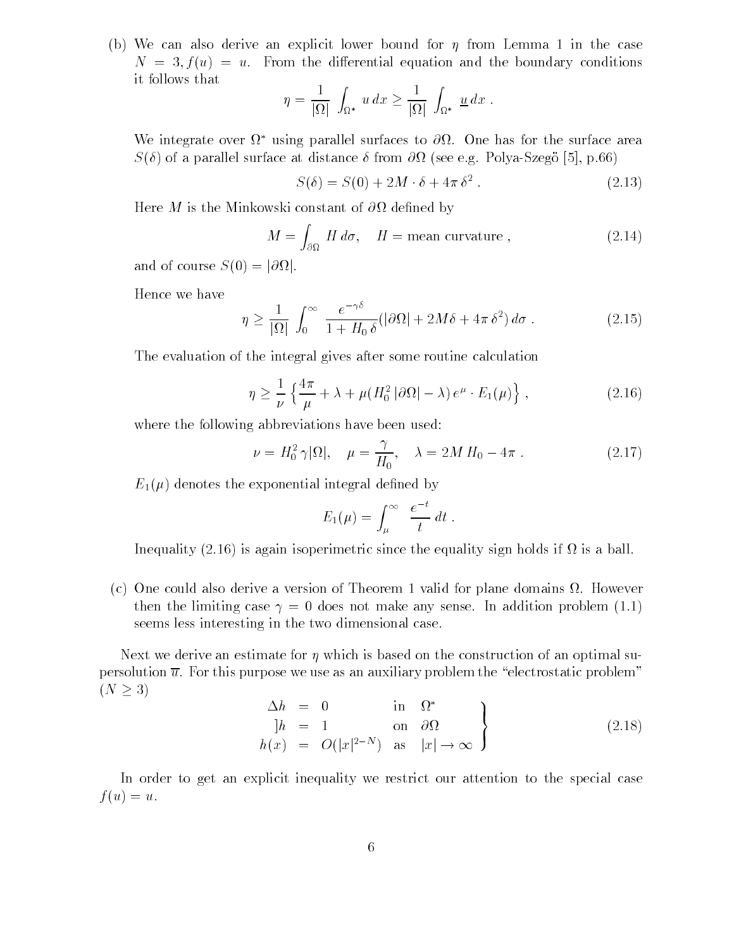(b) We can also derive an explicit lower bound for  $\eta$  from Lemma 1 in the case  $N = 3, f(u) = u$ . From the differential equation and the boundary conditions it follows that

$$
\eta = \frac{1}{|\Omega|} \int_{\Omega^*} u \, dx \ge \frac{1}{|\Omega|} \int_{\Omega^*} \underline{u} \, dx \; .
$$

We integrate over  $\Omega$  -using parallel surfaces to  $\partial \Omega$ . One has for the surface area S of a parallel surface at distance from - see eg Polya
Szego - p

$$
S(\delta) = S(0) + 2M \cdot \delta + 4\pi \delta^2.
$$
 (2.13)

Here M is the Minkowski constant of - dened by

$$
M = \int_{\partial \Omega} H \, d\sigma, \quad H = \text{mean curvature}, \tag{2.14}
$$

and of course  $S(0) = |\partial \Omega|$ .

Hence we have

$$
\eta \ge \frac{1}{|\Omega|} \int_0^\infty \frac{e^{-\gamma \delta}}{1 + H_0 \delta} (|\partial \Omega| + 2M\delta + 4\pi \delta^2) d\sigma \,. \tag{2.15}
$$

The evaluation of the integral gives after some routine calculation

$$
\eta \ge \frac{1}{\nu} \left\{ \frac{4\pi}{\mu} + \lambda + \mu (H_0^2 \left| \partial \Omega \right| - \lambda) e^{\mu} \cdot E_1(\mu) \right\},\tag{2.16}
$$

where the following abbreviations have been used:

$$
\nu = H_0^2 \gamma |\Omega|, \quad \mu = \frac{\gamma}{H_0}, \quad \lambda = 2M H_0 - 4\pi \; . \tag{2.17}
$$

 $E_1(\mu)$  denotes the exponential integral defined by

$$
E_1(\mu) = \int_{\mu}^{\infty} \frac{e^{-t}}{t} dt.
$$

Inequality (2.16) is again isoperimetric since the equality sign holds if  $\Omega$  is a ball.

(c) One could also derive a version of Theorem 1 valid for plane domains  $\Omega$ . However the limit case  $\bm{\lambda}$  and a does not make any sense in addition problem (six) seems less interesting in the two dimensional case

Next we derive an estimate for  $\eta$  which is based on the construction of an optimal supersolution  $\overline{u}$ . For this purpose we use as an auxiliary problem the "electrostatic problem"  $(N \geq 3)$ 

$$
\begin{aligned}\n\Delta h &= 0 & \text{in } \Omega^* \\
|h &= 1 & \text{on } \partial \Omega \\
h(x) &= O(|x|^{2-N}) & \text{as } |x| \to \infty\n\end{aligned}
$$
\n(2.18)

In order to get an explicit inequality we restrict our attention to the special case  $f(u) = u.$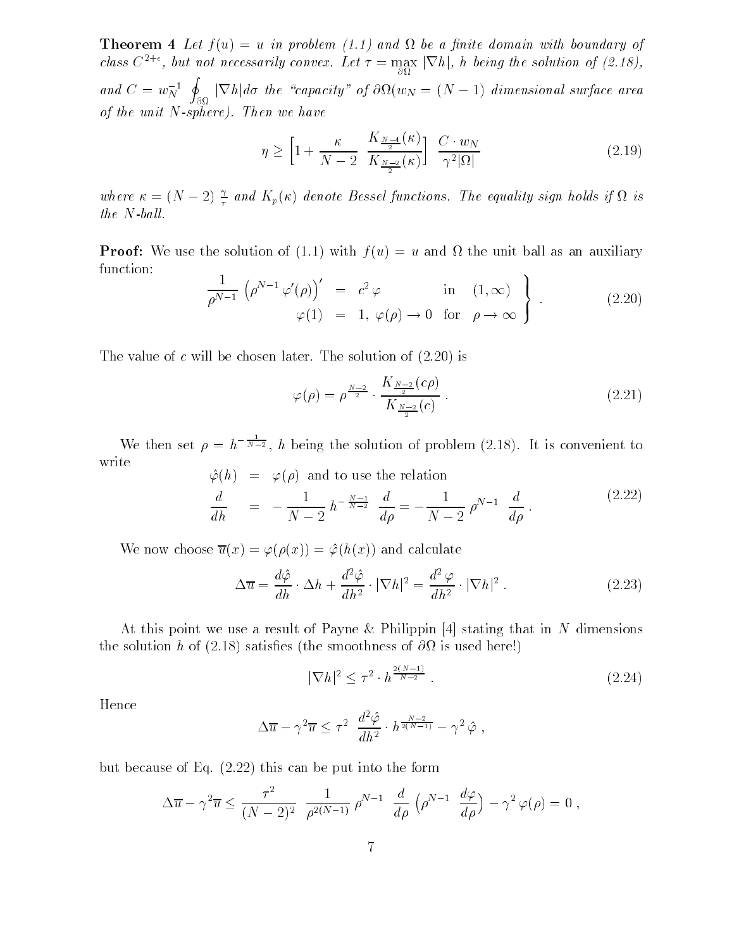**THEOFEIN T** Let  $f(u) = u$  in problem  $\{1,1\}$  and if we a nitre domain with boundary of class  $C^{2+\epsilon}$ , but not necessarily convex. Let  $\tau = \max_{\partial \Omega} |\nabla h|$ , h being the solution of (2.18), and  $C = w_N^{-1}$   $\phi$   $\nabla h | d\sigma$  the "capacity" of  $\partial \Omega(w_N = (N-1)$  dimensional surface area **International Contract Contract Contract Contract Contract Contract Contract Contract Contract Contract Contract Contract Contract Contract Contract Contract Contract Contract Contract Contract Contract Contract Contract** of the unit  $N$ -sphere). Then we have

$$
\eta \ge \left[1 + \frac{\kappa}{N-2} \frac{K_{\frac{N-4}{2}}(\kappa)}{K_{\frac{N-2}{2}}(\kappa)}\right] \frac{C \cdot w_N}{\gamma^2 |\Omega|} \tag{2.19}
$$

where  $\kappa = (N - 2) \frac{1}{\tau}$  and  $K_p(\kappa)$  denote Bessel functions. The equality sign holds if  $\Omega$  is  $\overline{U}$ the Information is  $\overline{U}$ 

 $\blacksquare$  Proof we use the solution of  $\lceil$  in  $\lceil$  in  $\lceil$  with  $\lceil$   $\lceil$  with a and  $\lceil$   $\lceil$   $\lceil$   $\lceil$   $\lceil$   $\lceil$   $\lceil$   $\lceil$   $\lceil$   $\lceil$   $\lceil$   $\lceil$   $\lceil$   $\lceil$   $\lceil$   $\lceil$   $\lceil$   $\lceil$   $\lceil$   $\lceil$   $\lceil$   $\lceil$  function the contract of the contract of the contract of the contract of the contract of the contract of the contract of

$$
\frac{1}{\rho^{N-1}} \left( \rho^{N-1} \varphi'(\rho) \right)' = c^2 \varphi \quad \text{in} \quad (1, \infty) \n\varphi(1) = 1, \varphi(\rho) \to 0 \quad \text{for} \quad \rho \to \infty
$$
\n(2.20)

The value of constraints of constraints  $\mathbf{I}$ 

$$
\varphi(\rho) = \rho^{\frac{N-2}{2}} \cdot \frac{K_{\frac{N-2}{2}}(c\rho)}{K_{\frac{N-2}{2}}(c)}.
$$
\n(2.21)

We then set  $\rho = h^{-\overline{N-2}}$ , h being the solution of problem (2.18). It is convenient to write  $\mathcal{L}(\alpha)$  and to use the poletic  $\Delta(L)$ 

$$
\varphi(h) = \varphi(\rho) \text{ and to use the relation}
$$
\n
$$
\frac{d}{dh} = -\frac{1}{N-2} h^{-\frac{N-1}{N-2}} \frac{d}{d\rho} = -\frac{1}{N-2} \rho^{N-1} \frac{d}{d\rho}.
$$
\n(2.22)

We now choose  $\overline{u}(x) = \varphi(\rho(x)) = \hat{\varphi}(h(x))$  and calculate

$$
\Delta \overline{u} = \frac{d\hat{\varphi}}{dh} \cdot \Delta h + \frac{d^2 \hat{\varphi}}{dh^2} \cdot |\nabla h|^2 = \frac{d^2 \varphi}{dh^2} \cdot |\nabla h|^2.
$$
 (2.23)

At this point we use a result of Payne & Philippin  $[4]$  stating that in N dimensions the solution has solved here solved here smoothness of  $\mathcal{S}$ 

$$
|\nabla h|^2 \le \tau^2 \cdot h^{\frac{2(N-1)}{N-2}}.
$$
\n(2.24)

Hence

$$
\Delta \overline{u} - \gamma^2 \overline{u} \leq \tau^2 \frac{d^2 \hat{\varphi}}{dh^2} \cdot h^{\frac{N-2}{2(N-1)}} - \gamma^2 \hat{\varphi} ,
$$

but because of Eq.  $(2.22)$  this can be put into the form

$$
\Delta \overline{u} - \gamma^2 \overline{u} \le \frac{\tau^2}{(N-2)^2} \frac{1}{\rho^{2(N-1)}} \rho^{N-1} \frac{d}{d\rho} \left( \rho^{N-1} \frac{d\varphi}{d\rho} \right) - \gamma^2 \varphi(\rho) = 0
$$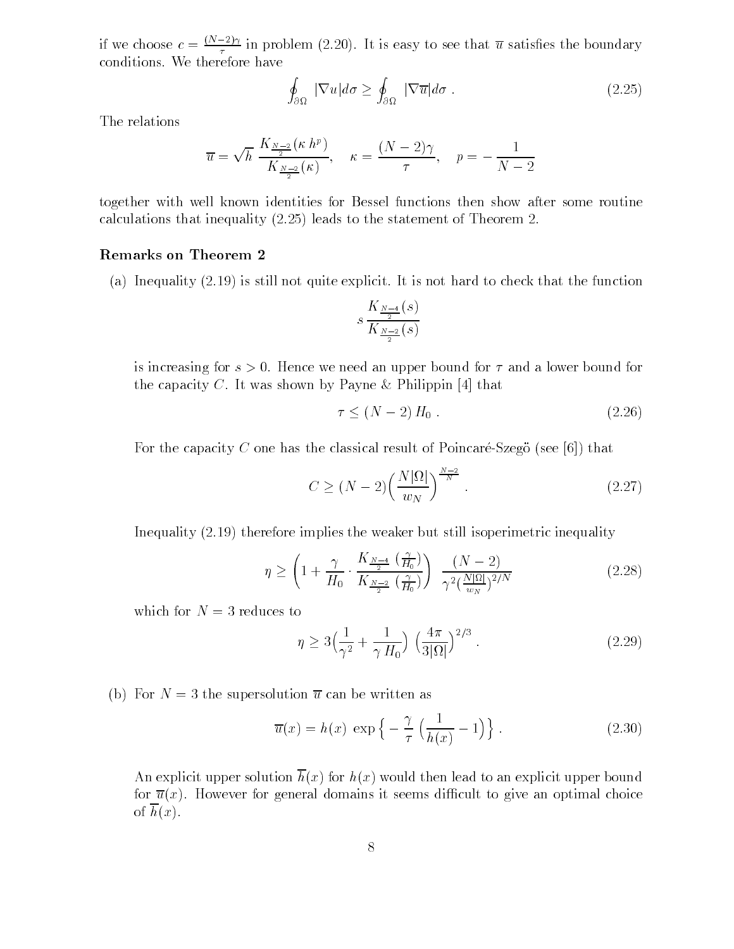if we choose  $c = \frac{x^2 + 2y}{x^2}$  in problem (2.20). It is easy to see that u satisfies the boundary conditions. We therefore have

$$
\oint_{\partial\Omega} |\nabla u| d\sigma \ge \oint_{\partial\Omega} |\nabla \overline{u}| d\sigma. \tag{2.25}
$$

The relations

$$
\overline{u} = \sqrt{h} \frac{K_{\frac{N-2}{2}}(\kappa h^p)}{K_{\frac{N-2}{2}}(\kappa)}, \quad \kappa = \frac{(N-2)\gamma}{\tau}, \quad p = -\frac{1}{N-2}
$$

together with well known identities for Bessel functions then show after some routine calculations that inequality  $(2.25)$  leads to the statement of Theorem 2.

#### Remarks on Theorem

(a) Inequality  $(2.19)$  is still not quite explicit. It is not hard to check that the function

$$
s\,\frac{K_{\frac{N-4}{2}}(s)}{K_{\frac{N-2}{2}}(s)}
$$

is increasing for s Hence we need an upper bound for and a lower bound for the capacity C. It was shown by Payne & Philippin  $[4]$  that

$$
\tau \le (N-2) H_0 \tag{2.26}
$$

For the capacity C one has the classical result of Poincaré-Szego (see [6]) that

$$
C \ge (N-2) \left(\frac{N|\Omega|}{w_N}\right)^{\frac{N-2}{N}}.\tag{2.27}
$$

Inequality  $(2.19)$  therefore implies the weaker but still isoperimetric inequality

$$
\eta \ge \left(1 + \frac{\gamma}{H_0} \cdot \frac{K_{\frac{N-4}{2}}\left(\frac{\gamma}{H_0}\right)}{K_{\frac{N-2}{2}}\left(\frac{\gamma}{H_0}\right)}\right) \frac{\left(N-2\right)}{\gamma^2 \left(\frac{N|\Omega|}{w_N}\right)^{2/N}}\tag{2.28}
$$

which for  $N = 3$  reduces to

$$
\eta \ge 3\left(\frac{1}{\gamma^2} + \frac{1}{\gamma H_0}\right) \left(\frac{4\pi}{3|\Omega|}\right)^{2/3}.
$$
 (2.29)

(b) For  $N = 3$  the supersolution  $\overline{u}$  can be written as

$$
\overline{u}(x) = h(x) \exp\left\{-\frac{\gamma}{\tau} \left(\frac{1}{h(x)} - 1\right)\right\}.
$$
 (2.30)

An explicit upper solution  $\overline{h}(x)$  for  $h(x)$  would then lead to an explicit upper bound for  $\overline{u}(x)$ . However for general domains it seems difficult to give an optimal choice of  $\overline{h}(x)$ .